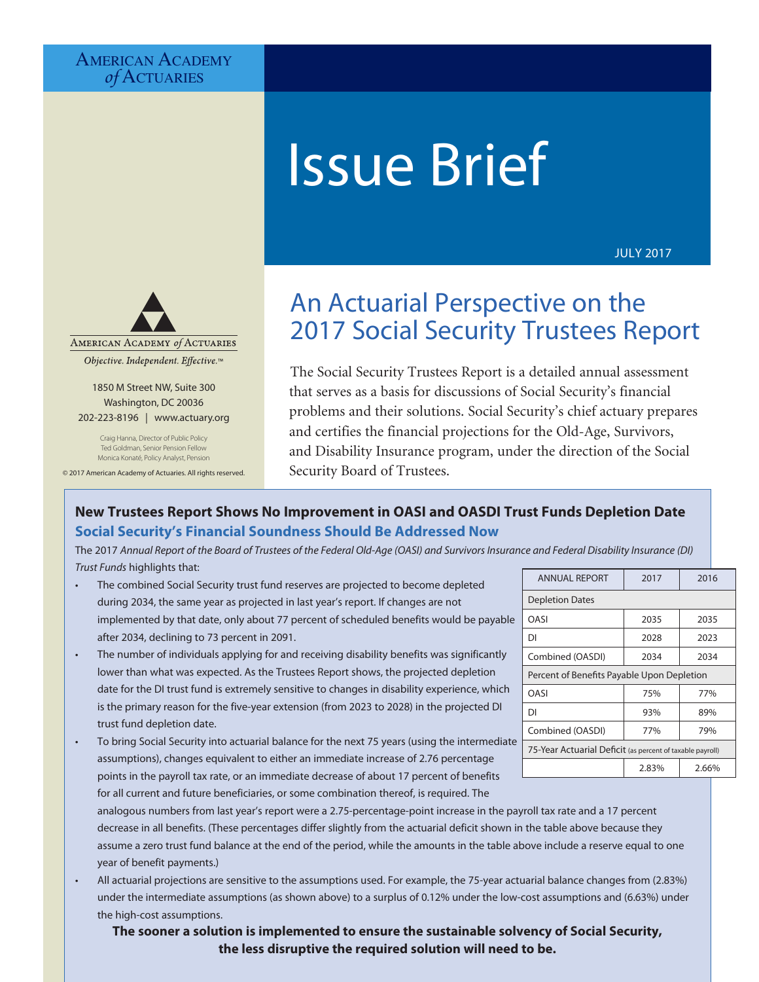# **AMERICAN ACADEMY** *of* Actuaries

# Issue Brief

JULY 2017



Objective. Independent. Effective.™

1850 M Street NW, Suite 300 Washington, DC 20036 202-223-8196 | [www.actuary.org](http://www.actuary.org)

Craig Hanna, Director of Public Policy Ted Goldman, Senior Pension Fellow Monica Konaté, Policy Analyst, Pension

© 2017 American Academy of Actuaries. All rights reserved.

# An Actuarial Perspective on the 2017 Social Security Trustees Report

The Social Security Trustees Report is a detailed annual assessment that serves as a basis for discussions of Social Security's financial problems and their solutions. Social Security's chief actuary prepares and certifies the financial projections for the Old-Age, Survivors, and Disability Insurance program, under the direction of the Social Security Board of Trustees.

# **New Trustees Report Shows No Improvement in OASI and OASDI Trust Funds Depletion Date Social Security's Financial Soundness Should Be Addressed Now**

The 2017 *Annual Report of the Board of Trustees of the Federal Old-Age (OASI) and Survivors Insurance and Federal Disability Insurance (DI) Trust Funds* highlights that:

- The combined Social Security trust fund reserves are projected to become depleted during 2034, the same year as projected in last year's report. If changes are not implemented by that date, only about 77 percent of scheduled benefits would be payable after 2034, declining to 73 percent in 2091.
- The number of individuals applying for and receiving disability benefits was significantly lower than what was expected. As the Trustees Report shows, the projected depletion date for the DI trust fund is extremely sensitive to changes in disability experience, which is the primary reason for the five-year extension (from 2023 to 2028) in the projected DI trust fund depletion date.
- To bring Social Security into actuarial balance for the next 75 years (using the intermediate assumptions), changes equivalent to either an immediate increase of 2.76 percentage points in the payroll tax rate, or an immediate decrease of about 17 percent of benefits for all current and future beneficiaries, or some combination thereof, is required. The

analogous numbers from last year's report were a 2.75-percentage-point increase in the payroll tax rate and a 17 percent decrease in all benefits. (These percentages differ slightly from the actuarial deficit shown in the table above because they assume a zero trust fund balance at the end of the period, while the amounts in the table above include a reserve equal to one year of benefit payments.)

• All actuarial projections are sensitive to the assumptions used. For example, the 75-year actuarial balance changes from (2.83%) under the intermediate assumptions (as shown above) to a surplus of 0.12% under the low-cost assumptions and (6.63%) under the high-cost assumptions.

**PAGE 1 ISSUE 2017 TRIEF ISSUE BRIEF ISSUE BRIEF ISSUE AT ACTUARIAL PERSPECTIVE ON THE 2017 SOCIAL SECURITY TRUST The sooner a solution is implemented to ensure the sustainable solvency of Social Security,** 

| <b>ANNUAL REPORT</b>                                      | 2017  | 2016  |  |  |
|-----------------------------------------------------------|-------|-------|--|--|
| <b>Depletion Dates</b>                                    |       |       |  |  |
| OASI                                                      | 2035  | 2035  |  |  |
| DI                                                        | 2028  | 2023  |  |  |
| Combined (OASDI)                                          | 2034  | 2034  |  |  |
| Percent of Benefits Payable Upon Depletion                |       |       |  |  |
| OASI                                                      | 75%   | 77%   |  |  |
| DI                                                        | 93%   | 89%   |  |  |
| Combined (OASDI)                                          | 77%   | 79%   |  |  |
| 75-Year Actuarial Deficit (as percent of taxable payroll) |       |       |  |  |
|                                                           | 2.83% | 2.66% |  |  |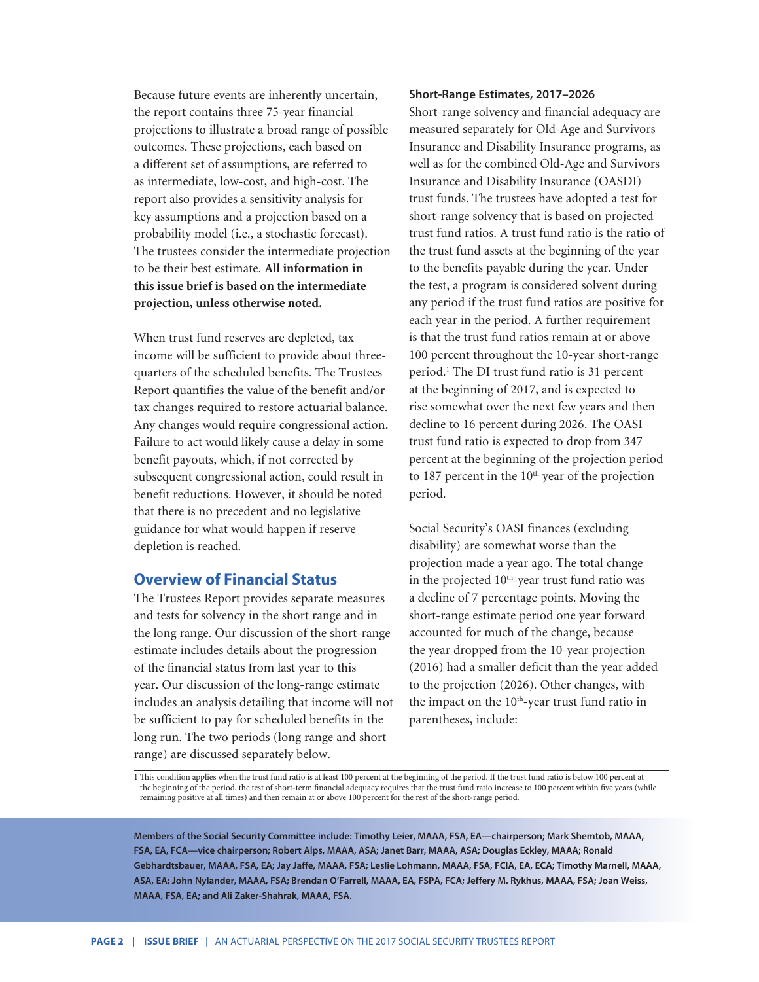Because future events are inherently uncertain, the report contains three 75-year financial projections to illustrate a broad range of possible outcomes. These projections, each based on a different set of assumptions, are referred to as intermediate, low-cost, and high-cost. The report also provides a sensitivity analysis for key assumptions and a projection based on a probability model (i.e., a stochastic forecast). The trustees consider the intermediate projection to be their best estimate. **All information in this issue brief is based on the intermediate projection, unless otherwise noted.**

When trust fund reserves are depleted, tax income will be sufficient to provide about threequarters of the scheduled benefits. The Trustees Report quantifies the value of the benefit and/or tax changes required to restore actuarial balance. Any changes would require congressional action. Failure to act would likely cause a delay in some benefit payouts, which, if not corrected by subsequent congressional action, could result in benefit reductions. However, it should be noted that there is no precedent and no legislative guidance for what would happen if reserve depletion is reached.

# **Overview of Financial Status**

The Trustees Report provides separate measures and tests for solvency in the short range and in the long range. Our discussion of the short-range estimate includes details about the progression of the financial status from last year to this year. Our discussion of the long-range estimate includes an analysis detailing that income will not be sufficient to pay for scheduled benefits in the long run. The two periods (long range and short range) are discussed separately below.

#### **Short-Range Estimates, 2017–2026**

Short-range solvency and financial adequacy are measured separately for Old-Age and Survivors Insurance and Disability Insurance programs, as well as for the combined Old-Age and Survivors Insurance and Disability Insurance (OASDI) trust funds. The trustees have adopted a test for short-range solvency that is based on projected trust fund ratios. A trust fund ratio is the ratio of the trust fund assets at the beginning of the year to the benefits payable during the year. Under the test, a program is considered solvent during any period if the trust fund ratios are positive for each year in the period. A further requirement is that the trust fund ratios remain at or above 100 percent throughout the 10-year short-range period.1 The DI trust fund ratio is 31 percent at the beginning of 2017, and is expected to rise somewhat over the next few years and then decline to 16 percent during 2026. The OASI trust fund ratio is expected to drop from 347 percent at the beginning of the projection period to 187 percent in the 10<sup>th</sup> year of the projection period.

Social Security's OASI finances (excluding disability) are somewhat worse than the projection made a year ago. The total change in the projected 10<sup>th</sup>-year trust fund ratio was a decline of 7 percentage points. Moving the short-range estimate period one year forward accounted for much of the change, because the year dropped from the 10-year projection (2016) had a smaller deficit than the year added to the projection (2026). Other changes, with the impact on the  $10<sup>th</sup>$ -year trust fund ratio in parentheses, include:

1 This condition applies when the trust fund ratio is at least 100 percent at the beginning of the period. If the trust fund ratio is below 100 percent at the beginning of the period, the test of short-term financial adequacy requires that the trust fund ratio increase to 100 percent within five years (while remaining positive at all times) and then remain at or above 100 percent for the rest of the short-range period.

**Members of the Social Security Committee include: Timothy Leier, MAAA, FSA, EA—chairperson; Mark Shemtob, MAAA, FSA, EA, FCA—vice chairperson; Robert Alps, MAAA, ASA; Janet Barr, MAAA, ASA; Douglas Eckley, MAAA; Ronald Gebhardtsbauer, MAAA, FSA, EA; Jay Jaffe, MAAA, FSA; Leslie Lohmann, MAAA, FSA, FCIA, EA, ECA; Timothy Marnell, MAAA, ASA, EA; John Nylander, MAAA, FSA; Brendan O'Farrell, MAAA, EA, FSPA, FCA; Jeffery M. Rykhus, MAAA, FSA; Joan Weiss, MAAA, FSA, EA; and Ali Zaker-Shahrak, MAAA, FSA.**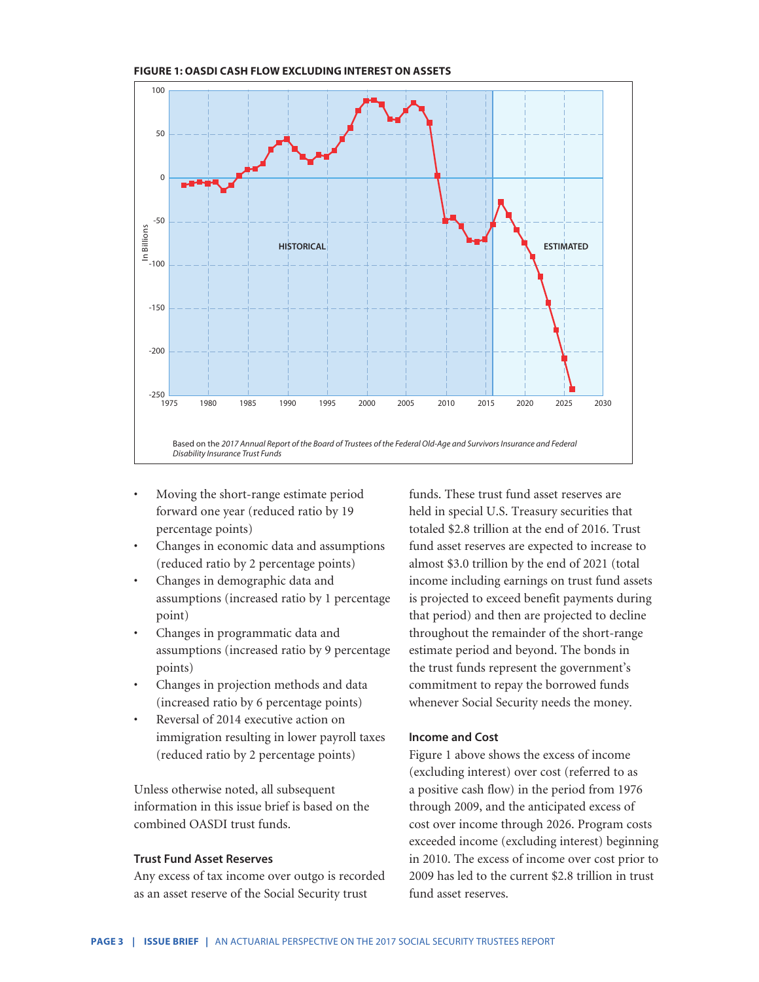

**FIGURE 1: OASDI CASH FLOW EXCLUDING INTEREST ON ASSETS** 

- Moving the short-range estimate period forward one year (reduced ratio by 19 percentage points)
- Changes in economic data and assumptions (reduced ratio by 2 percentage points)
- Changes in demographic data and assumptions (increased ratio by 1 percentage point)
- Changes in programmatic data and assumptions (increased ratio by 9 percentage points)
- Changes in projection methods and data (increased ratio by 6 percentage points)
- Reversal of 2014 executive action on immigration resulting in lower payroll taxes (reduced ratio by 2 percentage points)

Unless otherwise noted, all subsequent information in this issue brief is based on the combined OASDI trust funds.

## **Trust Fund Asset Reserves**

Any excess of tax income over outgo is recorded as an asset reserve of the Social Security trust

funds. These trust fund asset reserves are held in special U.S. Treasury securities that totaled \$2.8 trillion at the end of 2016. Trust fund asset reserves are expected to increase to almost \$3.0 trillion by the end of 2021 (total income including earnings on trust fund assets is projected to exceed benefit payments during that period) and then are projected to decline throughout the remainder of the short-range estimate period and beyond. The bonds in the trust funds represent the government's commitment to repay the borrowed funds whenever Social Security needs the money.

### **Income and Cost**

Figure 1 above shows the excess of income (excluding interest) over cost (referred to as a positive cash flow) in the period from 1976 through 2009, and the anticipated excess of cost over income through 2026. Program costs exceeded income (excluding interest) beginning in 2010. The excess of income over cost prior to 2009 has led to the current \$2.8 trillion in trust fund asset reserves.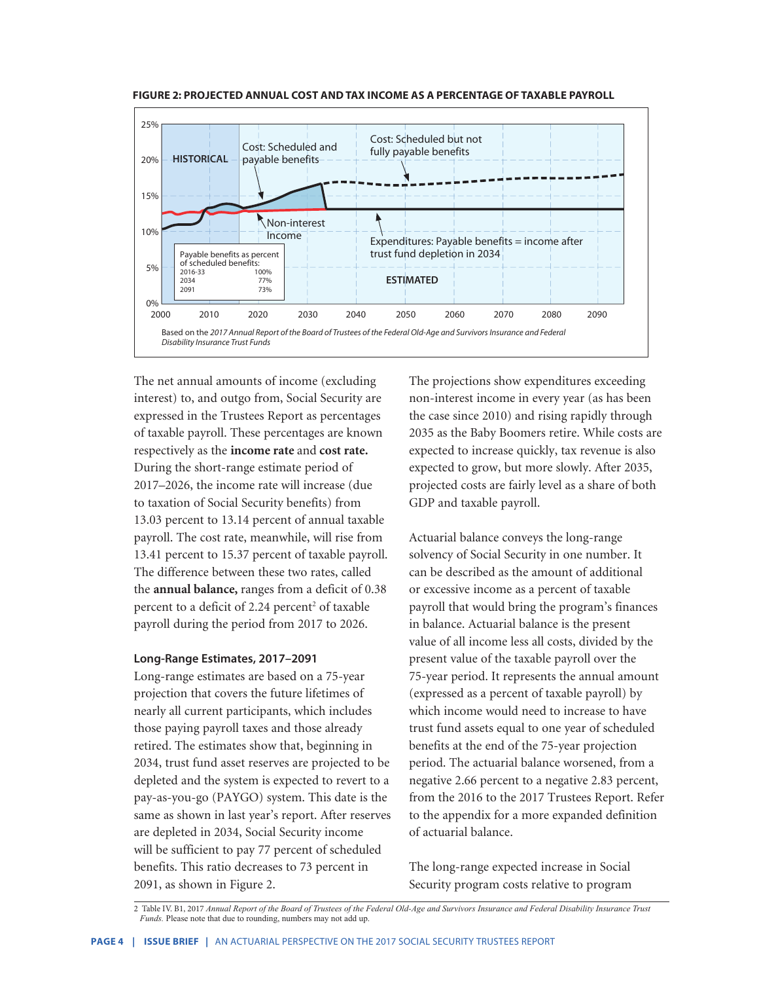



The net annual amounts of income (excluding interest) to, and outgo from, Social Security are expressed in the Trustees Report as percentages of taxable payroll. These percentages are known respectively as the **income rate** and **cost rate.** During the short-range estimate period of 2017–2026, the income rate will increase (due to taxation of Social Security benefits) from 13.03 percent to 13.14 percent of annual taxable payroll. The cost rate, meanwhile, will rise from 13.41 percent to 15.37 percent of taxable payroll. The difference between these two rates, called the **annual balance,** ranges from a deficit of 0.38 percent to a deficit of 2.24 percent<sup>2</sup> of taxable payroll during the period from 2017 to 2026.

#### **Long-Range Estimates, 2017–2091**

Long-range estimates are based on a 75-year projection that covers the future lifetimes of nearly all current participants, which includes those paying payroll taxes and those already retired. The estimates show that, beginning in 2034, trust fund asset reserves are projected to be depleted and the system is expected to revert to a pay-as-you-go (PAYGO) system. This date is the same as shown in last year's report. After reserves are depleted in 2034, Social Security income will be sufficient to pay 77 percent of scheduled benefits. This ratio decreases to 73 percent in 2091, as shown in Figure 2.

The projections show expenditures exceeding non-interest income in every year (as has been the case since 2010) and rising rapidly through 2035 as the Baby Boomers retire. While costs are expected to increase quickly, tax revenue is also expected to grow, but more slowly. After 2035, projected costs are fairly level as a share of both GDP and taxable payroll.

Actuarial balance conveys the long-range solvency of Social Security in one number. It can be described as the amount of additional or excessive income as a percent of taxable payroll that would bring the program's finances in balance. Actuarial balance is the present value of all income less all costs, divided by the present value of the taxable payroll over the 75-year period. It represents the annual amount (expressed as a percent of taxable payroll) by which income would need to increase to have trust fund assets equal to one year of scheduled benefits at the end of the 75-year projection period. The actuarial balance worsened, from a negative 2.66 percent to a negative 2.83 percent, from the 2016 to the 2017 Trustees Report. Refer to the appendix for a more expanded definition of actuarial balance.

The long-range expected increase in Social Security program costs relative to program

<sup>2</sup> Table IV. B1, 2017 *Annual Report of the Board of Trustees of the Federal Old-Age and Survivors Insurance and Federal Disability Insurance Trust Funds.* Please note that due to rounding, numbers may not add up.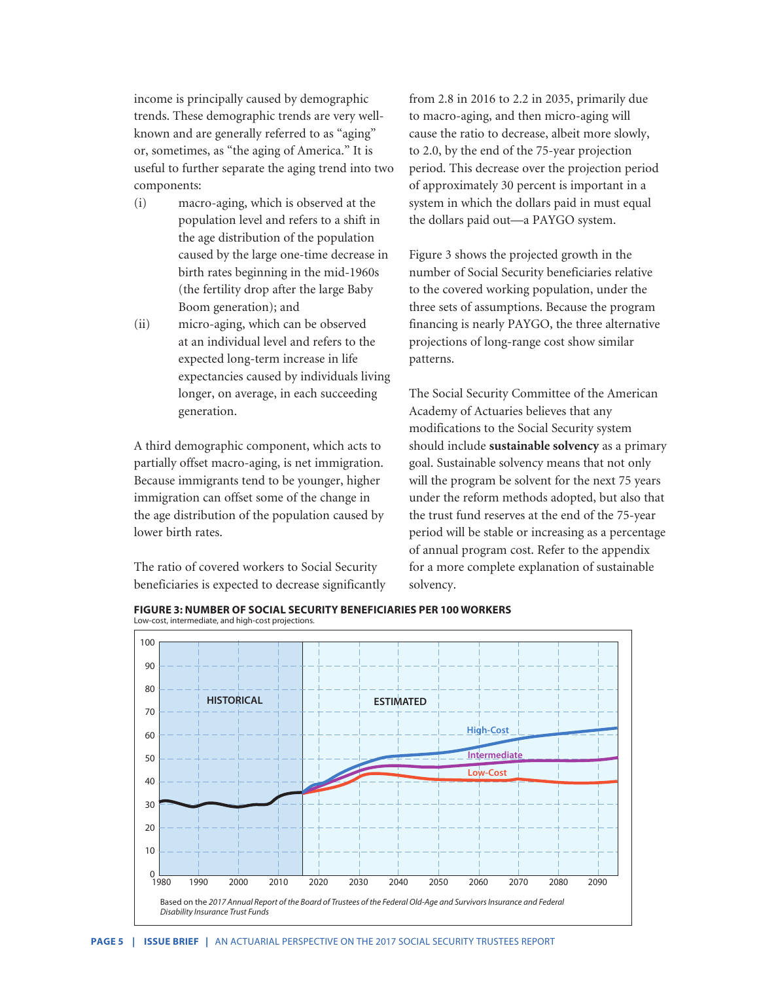income is principally caused by demographic trends. These demographic trends are very wellknown and are generally referred to as "aging" or, sometimes, as "the aging of America." It is useful to further separate the aging trend into two components:

- (i) macro-aging, which is observed at the population level and refers to a shift in the age distribution of the population caused by the large one-time decrease in birth rates beginning in the mid-1960s (the fertility drop after the large Baby Boom generation); and
- (ii) micro-aging, which can be observed at an individual level and refers to the expected long-term increase in life expectancies caused by individuals living longer, on average, in each succeeding generation.

A third demographic component, which acts to partially offset macro-aging, is net immigration. Because immigrants tend to be younger, higher immigration can offset some of the change in the age distribution of the population caused by lower birth rates.

The ratio of covered workers to Social Security beneficiaries is expected to decrease significantly from 2.8 in 2016 to 2.2 in 2035, primarily due to macro-aging, and then micro-aging will cause the ratio to decrease, albeit more slowly, to 2.0, by the end of the 75-year projection period. This decrease over the projection period of approximately 30 percent is important in a system in which the dollars paid in must equal the dollars paid out—a PAYGO system.

Figure 3 shows the projected growth in the number of Social Security beneficiaries relative to the covered working population, under the three sets of assumptions. Because the program financing is nearly PAYGO, the three alternative projections of long-range cost show similar patterns.

The Social Security Committee of the American Academy of Actuaries believes that any modifications to the Social Security system should include **sustainable solvency** as a primary goal. Sustainable solvency means that not only will the program be solvent for the next 75 years under the reform methods adopted, but also that the trust fund reserves at the end of the 75-year period will be stable or increasing as a percentage of annual program cost. Refer to the appendix for a more complete explanation of sustainable solvency.



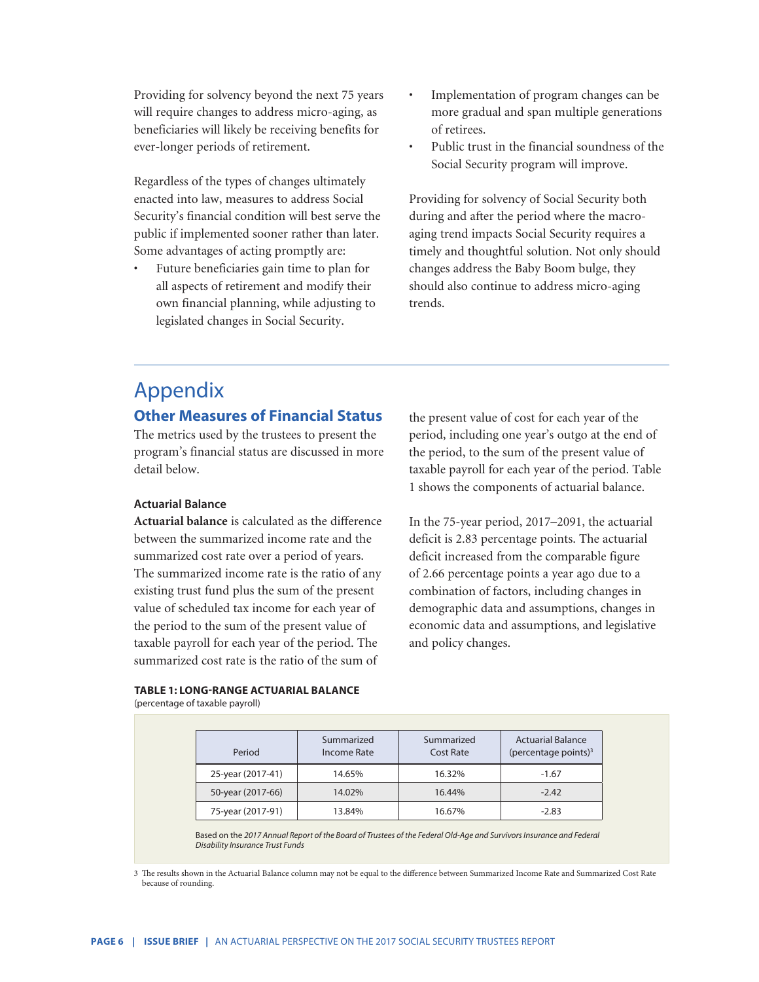Providing for solvency beyond the next 75 years will require changes to address micro-aging, as beneficiaries will likely be receiving benefits for ever-longer periods of retirement.

Regardless of the types of changes ultimately enacted into law, measures to address Social Security's financial condition will best serve the public if implemented sooner rather than later. Some advantages of acting promptly are:

• Future beneficiaries gain time to plan for all aspects of retirement and modify their own financial planning, while adjusting to legislated changes in Social Security.

- Implementation of program changes can be more gradual and span multiple generations of retirees.
- Public trust in the financial soundness of the Social Security program will improve.

Providing for solvency of Social Security both during and after the period where the macroaging trend impacts Social Security requires a timely and thoughtful solution. Not only should changes address the Baby Boom bulge, they should also continue to address micro-aging trends.

# Appendix

# **Other Measures of Financial Status**

The metrics used by the trustees to present the program's financial status are discussed in more detail below.

## **Actuarial Balance**

**Actuarial balance** is calculated as the difference between the summarized income rate and the summarized cost rate over a period of years. The summarized income rate is the ratio of any existing trust fund plus the sum of the present value of scheduled tax income for each year of the period to the sum of the present value of taxable payroll for each year of the period. The summarized cost rate is the ratio of the sum of

the present value of cost for each year of the period, including one year's outgo at the end of the period, to the sum of the present value of taxable payroll for each year of the period. Table 1 shows the components of actuarial balance.

In the 75-year period, 2017–2091, the actuarial deficit is 2.83 percentage points. The actuarial deficit increased from the comparable figure of 2.66 percentage points a year ago due to a combination of factors, including changes in demographic data and assumptions, changes in economic data and assumptions, and legislative and policy changes.

**TABLE 1: LONG-RANGE ACTUARIAL BALANCE** (percentage of taxable payroll)

| Period            | Summarized<br>Income Rate | Summarized<br>Cost Rate | <b>Actuarial Balance</b><br>(percentage points) $3$ |
|-------------------|---------------------------|-------------------------|-----------------------------------------------------|
| 25-year (2017-41) | 14.65%                    | 16.32%                  | $-1.67$                                             |
| 50-year (2017-66) | 14.02%                    | 16.44%                  | $-2.42$                                             |
| 75-year (2017-91) | 13.84%                    | 16.67%                  | $-2.83$                                             |

**Figure 4: Long-Range Projections of Trust Fund Ratios Under Alternative Scenarios** Based on the *2017 Annual Report of the Board of Trustees of the Federal Old-Age and Survivors Insurance and Federal*  (assets as a percentage of annual cost) *Disability Insurance Trust Funds*

3 The results shown in the Actuarial Balance column may not be equal to the difference between Summarized Income Rate and Summarized Cost Rate because of rounding.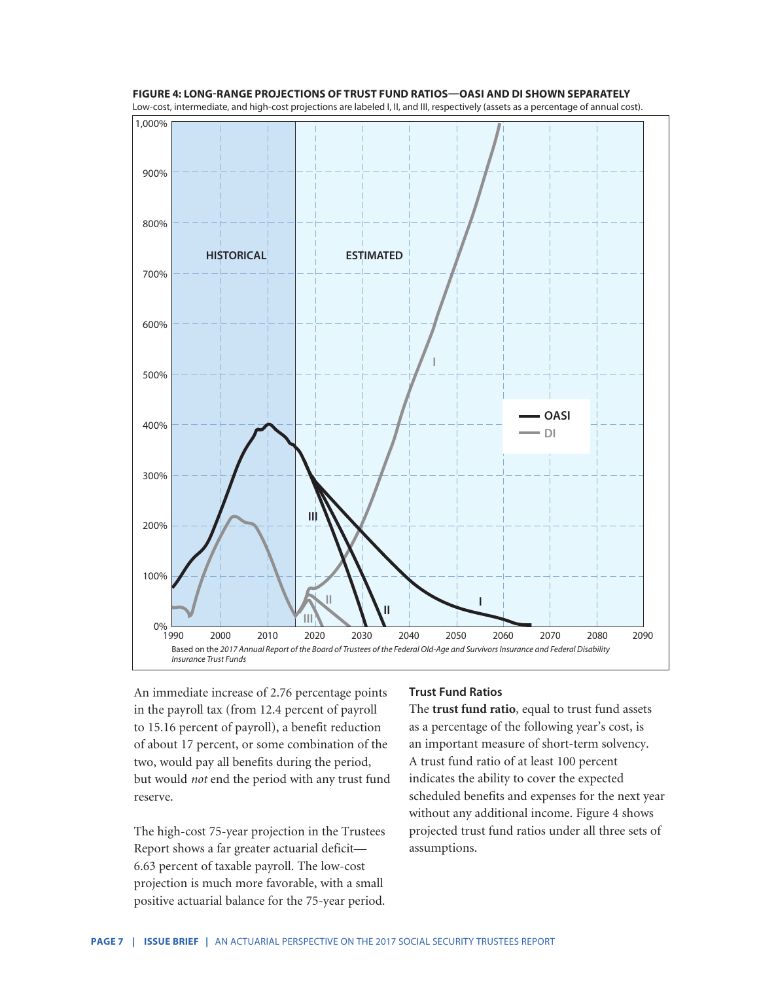

**FIGURE 4: LONG-RANGE PROJECTIONS OF TRUST FUND RATIOS—OASI AND DI SHOWN SEPARATELY** Low-cost, intermediate, and high-cost projections are labeled I, II, and III, respectively (assets as a percentage of annual cost).

An immediate increase of 2.76 percentage points in the payroll tax (from 12.4 percent of payroll to 15.16 percent of payroll), a benefit reduction of about 17 percent, or some combination of the two, would pay all benefits during the period, but would *not* end the period with any trust fund reserve.

The high-cost 75-year projection in the Trustees Report shows a far greater actuarial deficit— 6.63 percent of taxable payroll. The low-cost projection is much more favorable, with a small positive actuarial balance for the 75-year period.

#### **Trust Fund Ratios**

The **trust fund ratio**, equal to trust fund assets as a percentage of the following year's cost, is an important measure of short-term solvency. A trust fund ratio of at least 100 percent indicates the ability to cover the expected scheduled benefits and expenses for the next year without any additional income. Figure 4 shows projected trust fund ratios under all three sets of assumptions.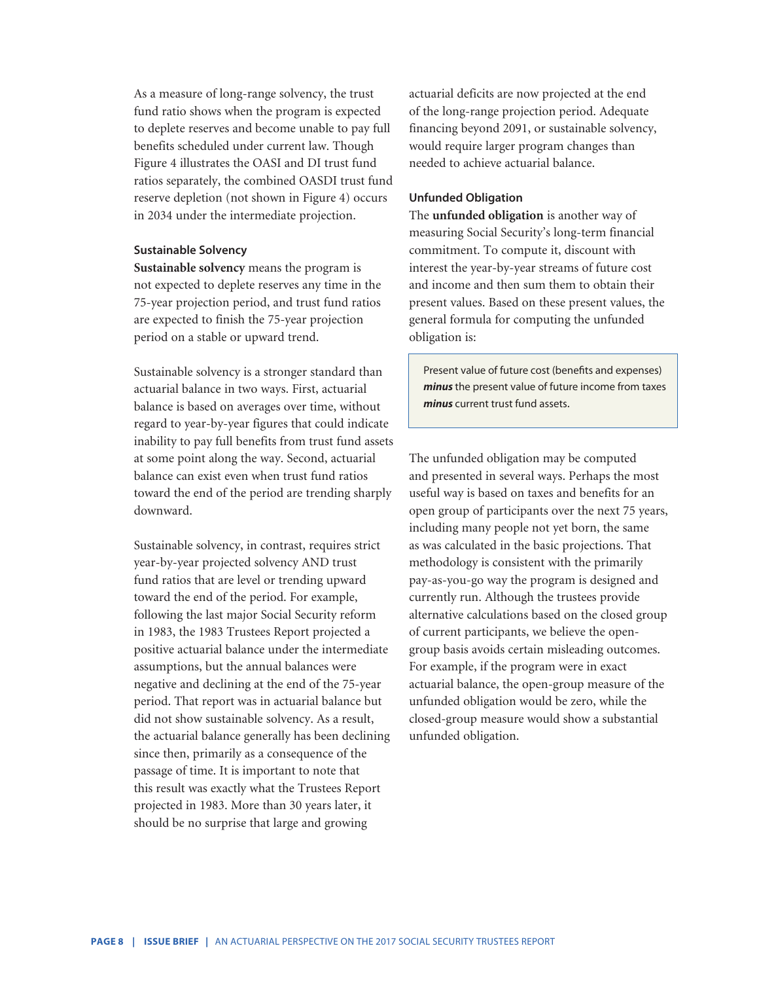As a measure of long-range solvency, the trust fund ratio shows when the program is expected to deplete reserves and become unable to pay full benefits scheduled under current law. Though Figure 4 illustrates the OASI and DI trust fund ratios separately, the combined OASDI trust fund reserve depletion (not shown in Figure 4) occurs in 2034 under the intermediate projection.

#### **Sustainable Solvency**

**Sustainable solvency** means the program is not expected to deplete reserves any time in the 75-year projection period, and trust fund ratios are expected to finish the 75-year projection period on a stable or upward trend.

Sustainable solvency is a stronger standard than actuarial balance in two ways. First, actuarial balance is based on averages over time, without regard to year-by-year figures that could indicate inability to pay full benefits from trust fund assets at some point along the way. Second, actuarial balance can exist even when trust fund ratios toward the end of the period are trending sharply downward.

Sustainable solvency, in contrast, requires strict year-by-year projected solvency AND trust fund ratios that are level or trending upward toward the end of the period. For example, following the last major Social Security reform in 1983, the 1983 Trustees Report projected a positive actuarial balance under the intermediate assumptions, but the annual balances were negative and declining at the end of the 75-year period. That report was in actuarial balance but did not show sustainable solvency. As a result, the actuarial balance generally has been declining since then, primarily as a consequence of the passage of time. It is important to note that this result was exactly what the Trustees Report projected in 1983. More than 30 years later, it should be no surprise that large and growing

actuarial deficits are now projected at the end of the long-range projection period. Adequate financing beyond 2091, or sustainable solvency, would require larger program changes than needed to achieve actuarial balance.

#### **Unfunded Obligation**

The **unfunded obligation** is another way of measuring Social Security's long-term financial commitment. To compute it, discount with interest the year-by-year streams of future cost and income and then sum them to obtain their present values. Based on these present values, the general formula for computing the unfunded obligation is:

Present value of future cost (benefits and expenses) *minus* the present value of future income from taxes *minus* current trust fund assets.

The unfunded obligation may be computed and presented in several ways. Perhaps the most useful way is based on taxes and benefits for an open group of participants over the next 75 years, including many people not yet born, the same as was calculated in the basic projections. That methodology is consistent with the primarily pay-as-you-go way the program is designed and currently run. Although the trustees provide alternative calculations based on the closed group of current participants, we believe the opengroup basis avoids certain misleading outcomes. For example, if the program were in exact actuarial balance, the open-group measure of the unfunded obligation would be zero, while the closed-group measure would show a substantial unfunded obligation.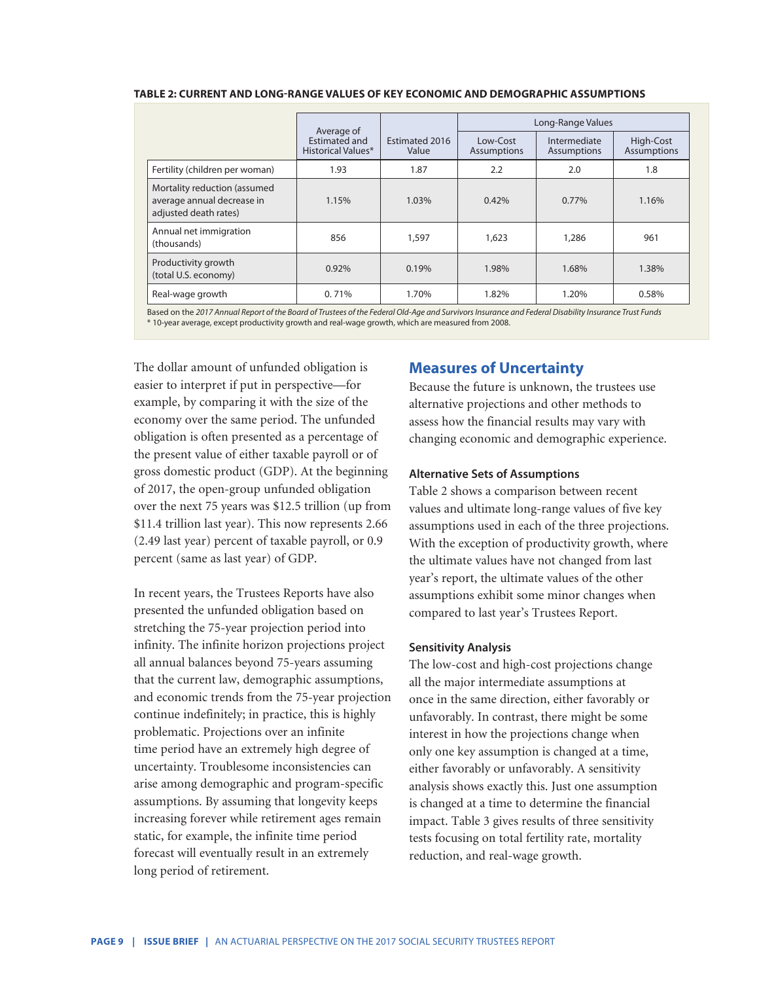| TABLE 2: CURRENT AND LONG-RANGE VALUES OF KEY ECONOMIC AND DEMOGRAPHIC ASSUMPTIONS |  |
|------------------------------------------------------------------------------------|--|
|------------------------------------------------------------------------------------|--|

|                                                                                     | Average of                                 |                         | Long-Range Values              |                                    |                                 |
|-------------------------------------------------------------------------------------|--------------------------------------------|-------------------------|--------------------------------|------------------------------------|---------------------------------|
|                                                                                     | <b>Estimated and</b><br>Historical Values* | Estimated 2016<br>Value | Low-Cost<br><b>Assumptions</b> | Intermediate<br><b>Assumptions</b> | High-Cost<br><b>Assumptions</b> |
| Fertility (children per woman)                                                      | 1.93                                       | 1.87                    | 2.2                            | 2.0                                | 1.8                             |
| Mortality reduction (assumed<br>average annual decrease in<br>adjusted death rates) | 1.15%                                      | 1.03%                   | 0.42%                          | 0.77%                              | 1.16%                           |
| Annual net immigration<br>(thousands)                                               | 856                                        | 1,597                   | 1,623                          | 1,286                              | 961                             |
| Productivity growth<br>(total U.S. economy)                                         | 0.92%                                      | 0.19%                   | 1.98%                          | 1.68%                              | 1.38%                           |
| Real-wage growth                                                                    | 0.71%                                      | 1.70%                   | 1.82%                          | 1.20%                              | 0.58%                           |

Based on the *2017 Annual Report of the Board of Trustees of the Federal Old-Age and Survivors Insurance and Federal Disability Insurance Trust Funds* \* 10-year average, except productivity growth and real-wage growth, which are measured from 2008.

The dollar amount of unfunded obligation is easier to interpret if put in perspective—for example, by comparing it with the size of the economy over the same period. The unfunded obligation is often presented as a percentage of the present value of either taxable payroll or of gross domestic product (GDP). At the beginning of 2017, the open-group unfunded obligation over the next 75 years was \$12.5 trillion (up from \$11.4 trillion last year). This now represents 2.66 (2.49 last year) percent of taxable payroll, or 0.9 percent (same as last year) of GDP.

In recent years, the Trustees Reports have also presented the unfunded obligation based on stretching the 75-year projection period into infinity. The infinite horizon projections project all annual balances beyond 75-years assuming that the current law, demographic assumptions, and economic trends from the 75-year projection continue indefinitely; in practice, this is highly problematic. Projections over an infinite time period have an extremely high degree of uncertainty. Troublesome inconsistencies can arise among demographic and program-specific assumptions. By assuming that longevity keeps increasing forever while retirement ages remain static, for example, the infinite time period forecast will eventually result in an extremely long period of retirement.

# **Measures of Uncertainty**

Because the future is unknown, the trustees use alternative projections and other methods to assess how the financial results may vary with changing economic and demographic experience.

#### **Alternative Sets of Assumptions**

Table 2 shows a comparison between recent values and ultimate long-range values of five key assumptions used in each of the three projections. With the exception of productivity growth, where the ultimate values have not changed from last year's report, the ultimate values of the other assumptions exhibit some minor changes when compared to last year's Trustees Report.

#### **Sensitivity Analysis**

The low-cost and high-cost projections change all the major intermediate assumptions at once in the same direction, either favorably or unfavorably. In contrast, there might be some interest in how the projections change when only one key assumption is changed at a time, either favorably or unfavorably. A sensitivity analysis shows exactly this. Just one assumption is changed at a time to determine the financial impact. Table 3 gives results of three sensitivity tests focusing on total fertility rate, mortality reduction, and real-wage growth.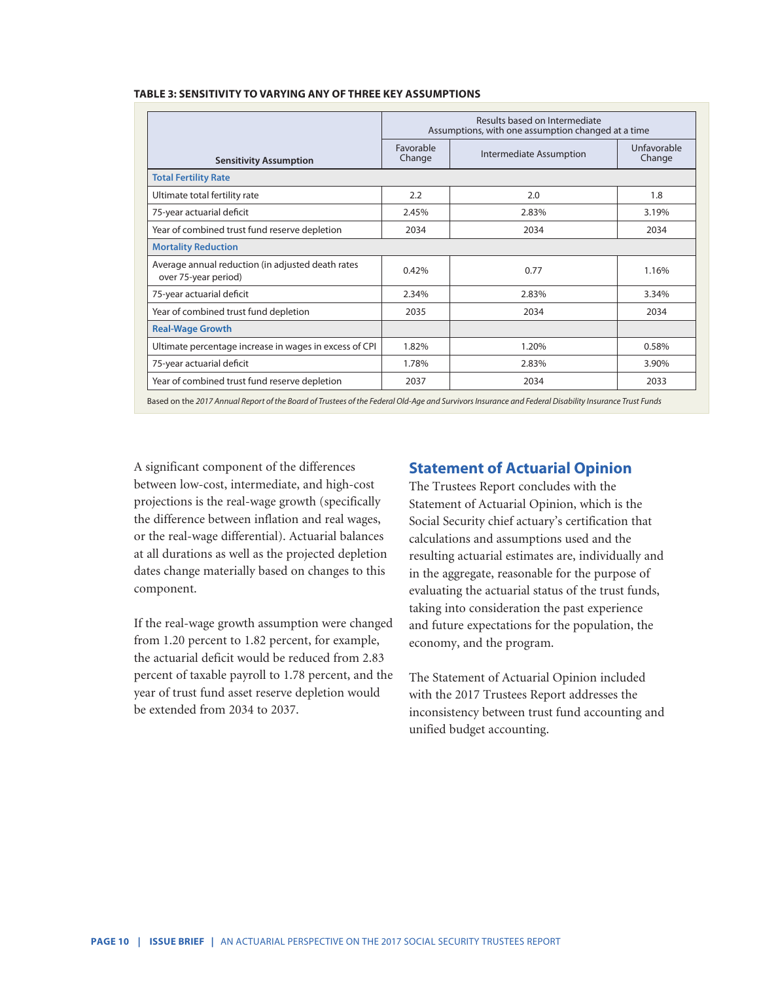|                                                                           | Results based on Intermediate<br>Assumptions, with one assumption changed at a time |                         |                       |
|---------------------------------------------------------------------------|-------------------------------------------------------------------------------------|-------------------------|-----------------------|
| <b>Sensitivity Assumption</b>                                             | Favorable<br>Change                                                                 | Intermediate Assumption | Unfavorable<br>Change |
| <b>Total Fertility Rate</b>                                               |                                                                                     |                         |                       |
| Ultimate total fertility rate                                             | 2.2                                                                                 | 2.0                     | 1.8                   |
| 75-year actuarial deficit                                                 | 2.45%                                                                               | 2.83%                   | 3.19%                 |
| Year of combined trust fund reserve depletion                             | 2034                                                                                | 2034                    | 2034                  |
| <b>Mortality Reduction</b>                                                |                                                                                     |                         |                       |
| Average annual reduction (in adjusted death rates<br>over 75-year period) | 0.42%                                                                               | 0.77                    | 1.16%                 |
| 75-year actuarial deficit                                                 | 2.34%                                                                               | 2.83%                   | 3.34%                 |
| Year of combined trust fund depletion                                     | 2035                                                                                | 2034                    | 2034                  |
| <b>Real-Wage Growth</b>                                                   |                                                                                     |                         |                       |
| Ultimate percentage increase in wages in excess of CPI                    | 1.82%                                                                               | 1.20%                   | 0.58%                 |
| 75-year actuarial deficit                                                 | 1.78%                                                                               | 2.83%                   | 3.90%                 |
| Year of combined trust fund reserve depletion                             | 2037                                                                                | 2034                    | 2033                  |

Based on the *2017 Annual Report of the Board of Trustees of the Federal Old-Age and Survivors Insurance and Federal Disability Insurance Trust Funds*

A significant component of the differences between low-cost, intermediate, and high-cost projections is the real-wage growth (specifically the difference between inflation and real wages, or the real-wage differential). Actuarial balances at all durations as well as the projected depletion dates change materially based on changes to this component.

If the real-wage growth assumption were changed from 1.20 percent to 1.82 percent, for example, the actuarial deficit would be reduced from 2.83 percent of taxable payroll to 1.78 percent, and the year of trust fund asset reserve depletion would be extended from 2034 to 2037.

# **Statement of Actuarial Opinion**

The Trustees Report concludes with the Statement of Actuarial Opinion, which is the Social Security chief actuary's certification that calculations and assumptions used and the resulting actuarial estimates are, individually and in the aggregate, reasonable for the purpose of evaluating the actuarial status of the trust funds, taking into consideration the past experience and future expectations for the population, the economy, and the program.

The Statement of Actuarial Opinion included with the 2017 Trustees Report addresses the inconsistency between trust fund accounting and unified budget accounting.